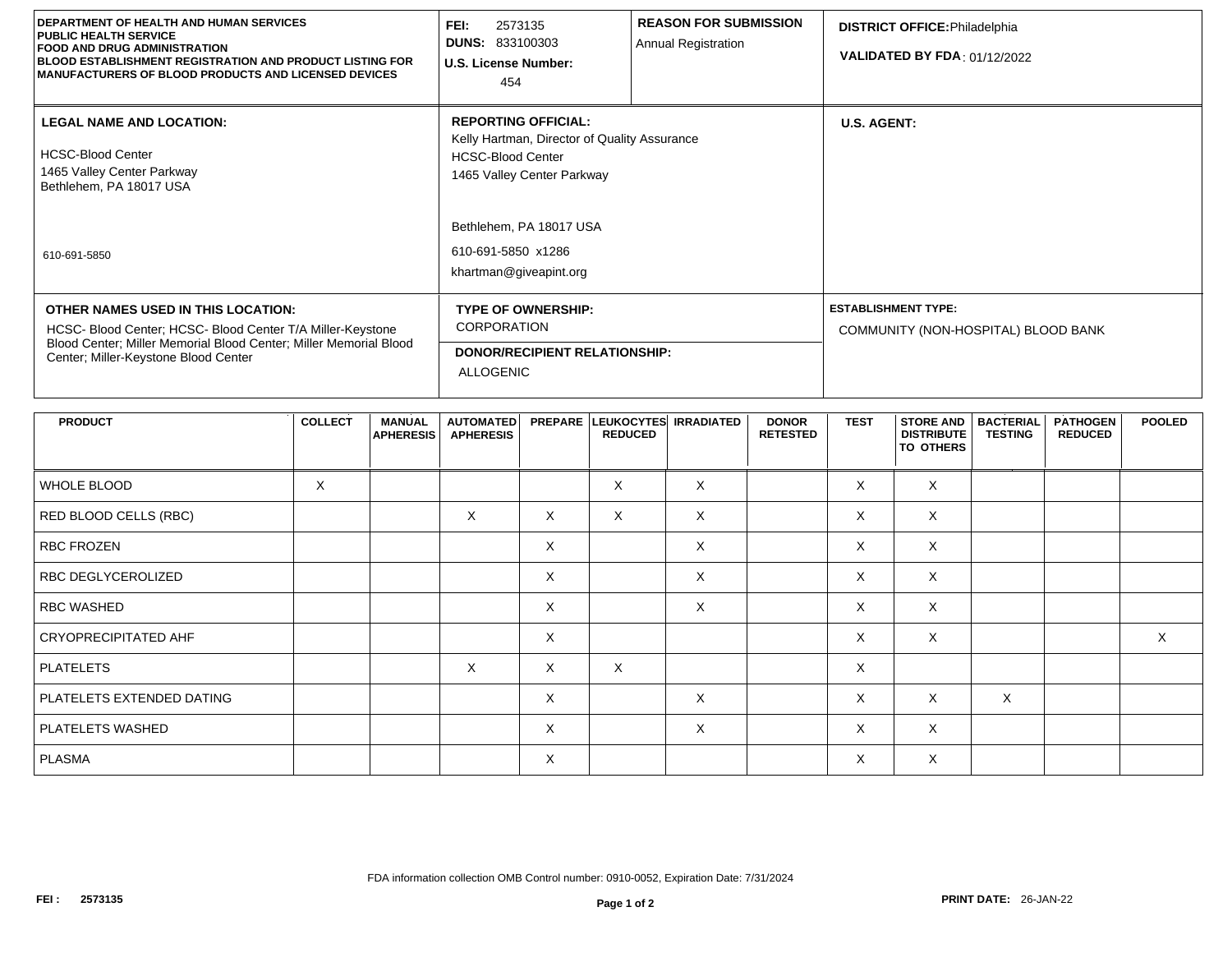| <b>DEPARTMENT OF HEALTH AND HUMAN SERVICES</b><br><b>PUBLIC HEALTH SERVICE</b><br><b>FOOD AND DRUG ADMINISTRATION</b><br><b>BLOOD ESTABLISHMENT REGISTRATION AND PRODUCT LISTING FOR</b><br>MANUFACTURERS OF BLOOD PRODUCTS AND LICENSED DEVICES | FEI:<br>2573135<br><b>DUNS: 833100303</b><br>U.S. License Number:<br>454                                                             | <b>REASON FOR SUBMISSION</b><br>Annual Registration | <b>DISTRICT OFFICE: Philadelphia</b><br><b>VALIDATED BY FDA: 01/12/2022</b> |  |  |
|--------------------------------------------------------------------------------------------------------------------------------------------------------------------------------------------------------------------------------------------------|--------------------------------------------------------------------------------------------------------------------------------------|-----------------------------------------------------|-----------------------------------------------------------------------------|--|--|
| <b>LEGAL NAME AND LOCATION:</b><br><b>HCSC-Blood Center</b><br>1465 Valley Center Parkway<br>Bethlehem, PA 18017 USA                                                                                                                             | <b>REPORTING OFFICIAL:</b><br>Kelly Hartman, Director of Quality Assurance<br><b>HCSC-Blood Center</b><br>1465 Valley Center Parkway |                                                     | <b>U.S. AGENT:</b>                                                          |  |  |
| 610-691-5850                                                                                                                                                                                                                                     | Bethlehem, PA 18017 USA<br>610-691-5850 x1286<br>khartman@giveapint.org                                                              |                                                     |                                                                             |  |  |
| OTHER NAMES USED IN THIS LOCATION:<br>HCSC- Blood Center; HCSC- Blood Center T/A Miller-Keystone<br>Blood Center; Miller Memorial Blood Center; Miller Memorial Blood<br>Center; Miller-Keystone Blood Center                                    | <b>TYPE OF OWNERSHIP:</b><br><b>CORPORATION</b><br><b>DONOR/RECIPIENT RELATIONSHIP:</b><br><b>ALLOGENIC</b>                          |                                                     | <b>ESTABLISHMENT TYPE:</b><br>COMMUNITY (NON-HOSPITAL) BLOOD BANK           |  |  |

| <b>PRODUCT</b>              | <b>COLLECT</b> | <b>MANUAL</b><br><b>APHERESIS</b> | <b>AUTOMATED</b><br><b>APHERESIS</b> |          | PREPARE LEUKOCYTES IRRADIATED<br><b>REDUCED</b> |          | <b>DONOR</b><br><b>RETESTED</b> | <b>TEST</b> | STORE AND   BACTERIAL<br><b>DISTRIBUTE</b><br><b>TO OTHERS</b> | <b>TESTING</b> | <b>PATHOGEN</b><br><b>REDUCED</b> | <b>POOLED</b> |
|-----------------------------|----------------|-----------------------------------|--------------------------------------|----------|-------------------------------------------------|----------|---------------------------------|-------------|----------------------------------------------------------------|----------------|-----------------------------------|---------------|
| WHOLE BLOOD                 | X              |                                   |                                      |          | $\sf X$                                         | $\times$ |                                 | $\sf X$     | X                                                              |                |                                   |               |
| RED BLOOD CELLS (RBC)       |                |                                   | X                                    | $\times$ | X                                               | X        |                                 | $\times$    | X                                                              |                |                                   |               |
| <b>RBC FROZEN</b>           |                |                                   |                                      | X        |                                                 | X        |                                 | $\times$    | X                                                              |                |                                   |               |
| RBC DEGLYCEROLIZED          |                |                                   |                                      | X        |                                                 | X        |                                 | $\times$    | X                                                              |                |                                   |               |
| <b>RBC WASHED</b>           |                |                                   |                                      | X        |                                                 | $\times$ |                                 | $\times$    | X                                                              |                |                                   |               |
| <b>CRYOPRECIPITATED AHF</b> |                |                                   |                                      | X        |                                                 |          |                                 | $\times$    | X                                                              |                |                                   | $\times$      |
| <b>PLATELETS</b>            |                |                                   | $\times$                             | $\times$ | $\times$                                        |          |                                 | $\times$    |                                                                |                |                                   |               |
| PLATELETS EXTENDED DATING   |                |                                   |                                      | $\times$ |                                                 | $\times$ |                                 | $\times$    | X                                                              | $\times$       |                                   |               |
| PLATELETS WASHED            |                |                                   |                                      | X        |                                                 | X        |                                 | $\times$    | X                                                              |                |                                   |               |
| PLASMA                      |                |                                   |                                      | X        |                                                 |          |                                 | X           | X                                                              |                |                                   |               |